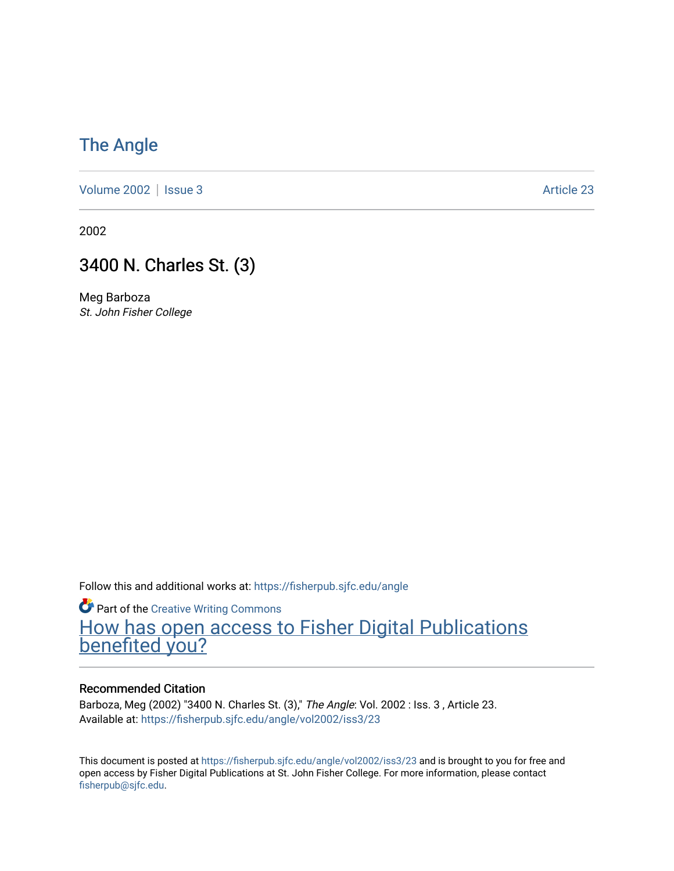### [The Angle](https://fisherpub.sjfc.edu/angle)

[Volume 2002](https://fisherpub.sjfc.edu/angle/vol2002) | [Issue 3](https://fisherpub.sjfc.edu/angle/vol2002/iss3) Article 23

2002

### 3400 N. Charles St. (3)

Meg Barboza St. John Fisher College

Follow this and additional works at: [https://fisherpub.sjfc.edu/angle](https://fisherpub.sjfc.edu/angle?utm_source=fisherpub.sjfc.edu%2Fangle%2Fvol2002%2Fiss3%2F23&utm_medium=PDF&utm_campaign=PDFCoverPages)

**Part of the Creative Writing Commons** [How has open access to Fisher Digital Publications](https://docs.google.com/forms/d/14zrnDfH9d1wcdq8oG_-gFabAsxfcH5claltx85ZWyTg/viewform?entry.1394608989=https://fisherpub.sjfc.edu/angle/vol2002/iss3/23%3Chttps://docs.google.com/forms/d/14zrnDfH9d1wcdq8oG_-gFabAsxfcH5claltx85ZWyTg/viewform?entry.1394608989=%7bhttps://fisherpub.sjfc.edu/angle/vol2002/iss3/23%7d) [benefited you?](https://docs.google.com/forms/d/14zrnDfH9d1wcdq8oG_-gFabAsxfcH5claltx85ZWyTg/viewform?entry.1394608989=https://fisherpub.sjfc.edu/angle/vol2002/iss3/23%3Chttps://docs.google.com/forms/d/14zrnDfH9d1wcdq8oG_-gFabAsxfcH5claltx85ZWyTg/viewform?entry.1394608989=%7bhttps://fisherpub.sjfc.edu/angle/vol2002/iss3/23%7d)

#### Recommended Citation

Barboza, Meg (2002) "3400 N. Charles St. (3)," The Angle: Vol. 2002 : Iss. 3 , Article 23. Available at: [https://fisherpub.sjfc.edu/angle/vol2002/iss3/23](https://fisherpub.sjfc.edu/angle/vol2002/iss3/23?utm_source=fisherpub.sjfc.edu%2Fangle%2Fvol2002%2Fiss3%2F23&utm_medium=PDF&utm_campaign=PDFCoverPages) 

This document is posted at <https://fisherpub.sjfc.edu/angle/vol2002/iss3/23> and is brought to you for free and open access by Fisher Digital Publications at St. John Fisher College. For more information, please contact [fisherpub@sjfc.edu](mailto:fisherpub@sjfc.edu).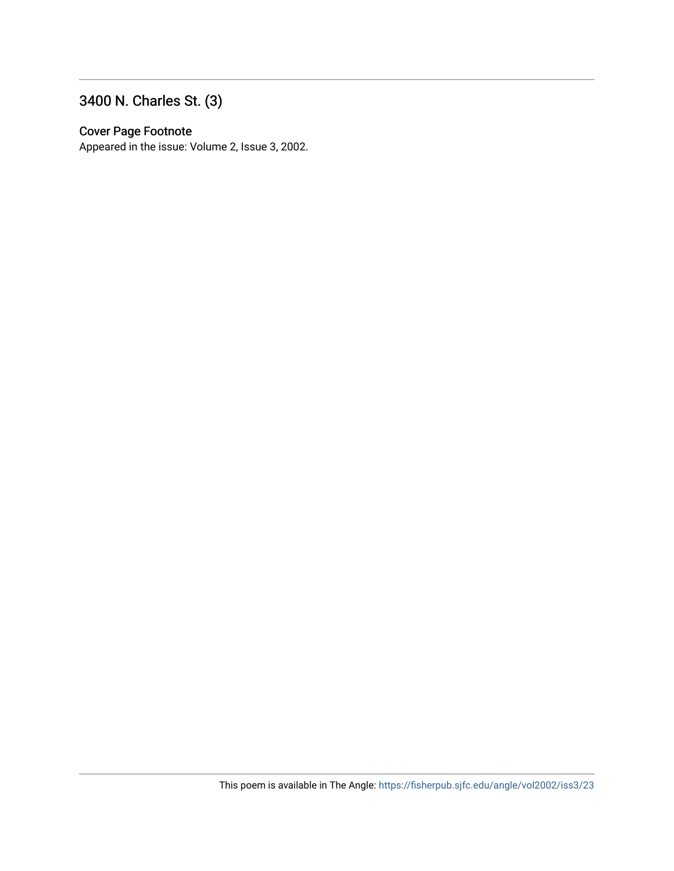## 3400 N. Charles St. (3)

#### Cover Page Footnote

Appeared in the issue: Volume 2, Issue 3, 2002.